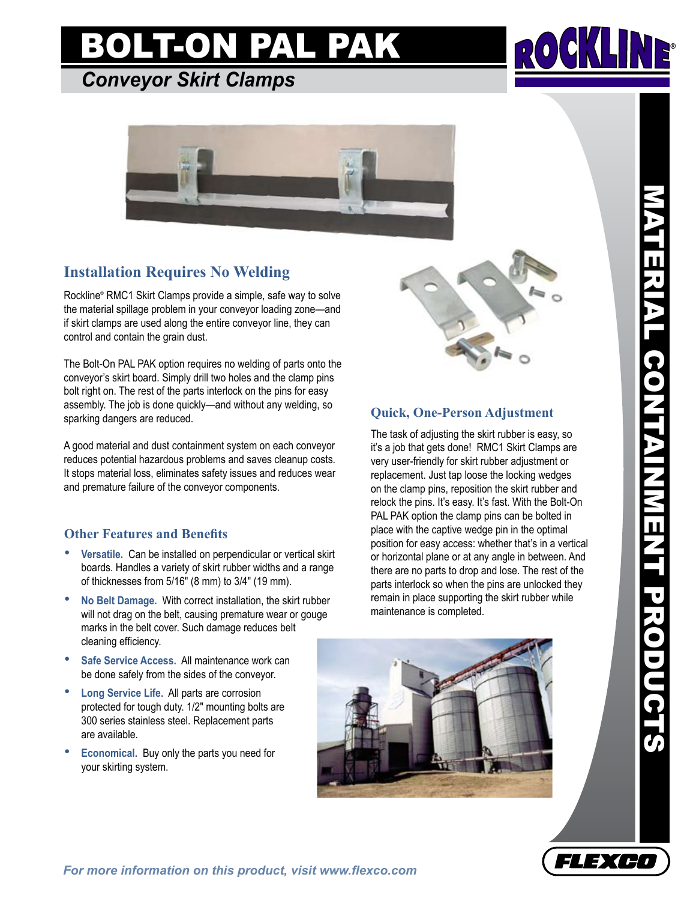# BOLT-ON PAL PA

### *Conveyor Skirt Clamps*



### **Installation Requires No Welding**

Rockline® RMC1 Skirt Clamps provide a simple, safe way to solve the material spillage problem in your conveyor loading zone—and if skirt clamps are used along the entire conveyor line, they can control and contain the grain dust.

The Bolt-On PAL PAK option requires no welding of parts onto the conveyor's skirt board. Simply drill two holes and the clamp pins bolt right on. The rest of the parts interlock on the pins for easy assembly. The job is done quickly—and without any welding, so sparking dangers are reduced.

A good material and dust containment system on each conveyor reduces potential hazardous problems and saves cleanup costs. It stops material loss, eliminates safety issues and reduces wear and premature failure of the conveyor components.

#### **Other Features and Benefits**

- **Versatile.** Can be installed on perpendicular or vertical skirt boards. Handles a variety of skirt rubber widths and a range of thicknesses from 5/16" (8 mm) to 3/4" (19 mm).
- **No Belt Damage.** With correct installation, the skirt rubber will not drag on the belt, causing premature wear or gouge marks in the belt cover. Such damage reduces belt cleaning efficiency.
- Safe Service Access. All maintenance work can be done safely from the sides of the conveyor.
- **Long Service Life.** All parts are corrosion protected for tough duty. 1/2" mounting bolts are 300 series stainless steel. Replacement parts are available.
- **Economical.** Buy only the parts you need for your skirting system.



### **Quick, One-Person Adjustment**

The task of adjusting the skirt rubber is easy, so it's a job that gets done! RMC1 Skirt Clamps are very user-friendly for skirt rubber adjustment or replacement. Just tap loose the locking wedges on the clamp pins, reposition the skirt rubber and relock the pins. It's easy. It's fast. With the Bolt-On PAL PAK option the clamp pins can be bolted in place with the captive wedge pin in the optimal position for easy access: whether that's in a vertical or horizontal plane or at any angle in between. And there are no parts to drop and lose. The rest of the parts interlock so when the pins are unlocked they remain in place supporting the skirt rubber while maintenance is completed.



MATERIAL CONTAINMENT PRODUCTS ATERIAL CONTAINMENT PRODUCTS



®